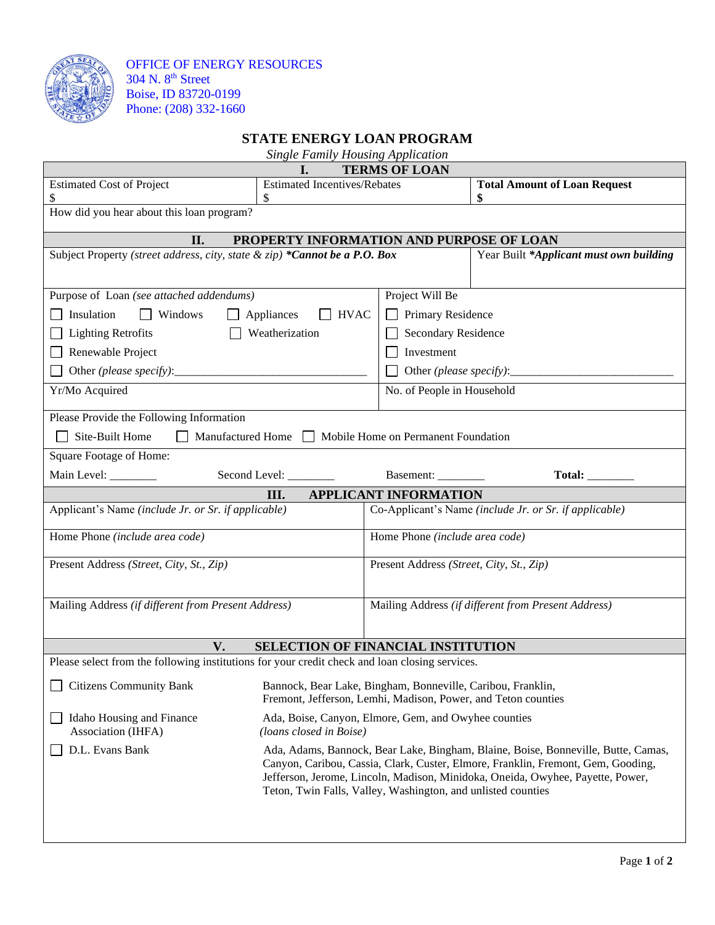

OFFICE OF ENERGY RESOURCES 304 N. 8<sup>th</sup> Street Boise, ID 83720-0199 Phone: (208) 332-1660

## **STATE ENERGY LOAN PROGRAM**

*Single Family Housing Application*

| I.<br><b>TERMS OF LOAN</b>                                                                                                                           |                                                                                                                                                                                                                                    |                                                     |                                           |  |  |  |
|------------------------------------------------------------------------------------------------------------------------------------------------------|------------------------------------------------------------------------------------------------------------------------------------------------------------------------------------------------------------------------------------|-----------------------------------------------------|-------------------------------------------|--|--|--|
| <b>Estimated Cost of Project</b><br>\$                                                                                                               | <b>Estimated Incentives/Rebates</b>                                                                                                                                                                                                |                                                     | <b>Total Amount of Loan Request</b><br>\$ |  |  |  |
| How did you hear about this loan program?                                                                                                            |                                                                                                                                                                                                                                    |                                                     |                                           |  |  |  |
|                                                                                                                                                      |                                                                                                                                                                                                                                    |                                                     |                                           |  |  |  |
| II.<br>PROPERTY INFORMATION AND PURPOSE OF LOAN                                                                                                      |                                                                                                                                                                                                                                    |                                                     |                                           |  |  |  |
| Subject Property (street address, city, state & zip) *Cannot be a P.O. Box                                                                           |                                                                                                                                                                                                                                    |                                                     | Year Built *Applicant must own building   |  |  |  |
|                                                                                                                                                      |                                                                                                                                                                                                                                    |                                                     |                                           |  |  |  |
| Purpose of Loan (see attached addendums)                                                                                                             |                                                                                                                                                                                                                                    | Project Will Be                                     |                                           |  |  |  |
| Insulation<br>$\Box$ Windows                                                                                                                         | Appliances<br>$\Box$ HVAC                                                                                                                                                                                                          | Primary Residence                                   |                                           |  |  |  |
| <b>Lighting Retrofits</b><br>Weatherization                                                                                                          |                                                                                                                                                                                                                                    | Secondary Residence                                 |                                           |  |  |  |
| Renewable Project                                                                                                                                    |                                                                                                                                                                                                                                    | Investment                                          |                                           |  |  |  |
| Other (please specify):                                                                                                                              |                                                                                                                                                                                                                                    | Other (please specify):                             |                                           |  |  |  |
| Yr/Mo Acquired                                                                                                                                       |                                                                                                                                                                                                                                    | No. of People in Household                          |                                           |  |  |  |
| Please Provide the Following Information                                                                                                             |                                                                                                                                                                                                                                    |                                                     |                                           |  |  |  |
| Site-Built Home                                                                                                                                      | Manufactured Home   Mobile Home on Permanent Foundation                                                                                                                                                                            |                                                     |                                           |  |  |  |
| Square Footage of Home:                                                                                                                              |                                                                                                                                                                                                                                    |                                                     |                                           |  |  |  |
| Main Level: _______                                                                                                                                  | Second Level: ______                                                                                                                                                                                                               | Basement: _________                                 |                                           |  |  |  |
| <b>APPLICANT INFORMATION</b><br>Ш.                                                                                                                   |                                                                                                                                                                                                                                    |                                                     |                                           |  |  |  |
| Co-Applicant's Name (include Jr. or Sr. if applicable)<br>Applicant's Name (include Jr. or Sr. if applicable)                                        |                                                                                                                                                                                                                                    |                                                     |                                           |  |  |  |
| Home Phone (include area code)                                                                                                                       |                                                                                                                                                                                                                                    | Home Phone (include area code)                      |                                           |  |  |  |
| Present Address (Street, City, St., Zip)                                                                                                             |                                                                                                                                                                                                                                    | Present Address (Street, City, St., Zip)            |                                           |  |  |  |
|                                                                                                                                                      |                                                                                                                                                                                                                                    |                                                     |                                           |  |  |  |
| Mailing Address (if different from Present Address)                                                                                                  |                                                                                                                                                                                                                                    | Mailing Address (if different from Present Address) |                                           |  |  |  |
|                                                                                                                                                      |                                                                                                                                                                                                                                    |                                                     |                                           |  |  |  |
| V.<br><b>SELECTION OF FINANCIAL INSTITUTION</b>                                                                                                      |                                                                                                                                                                                                                                    |                                                     |                                           |  |  |  |
| Please select from the following institutions for your credit check and loan closing services.                                                       |                                                                                                                                                                                                                                    |                                                     |                                           |  |  |  |
| Citizens Community Bank Bannock, Bear Lake, Bingham, Bonneville, Caribou, Franklin,<br>Fremont, Jefferson, Lemhi, Madison, Power, and Teton counties |                                                                                                                                                                                                                                    |                                                     |                                           |  |  |  |
| Idaho Housing and Finance<br>Association (IHFA)                                                                                                      | Ada, Boise, Canyon, Elmore, Gem, and Owyhee counties<br>(loans closed in Boise)                                                                                                                                                    |                                                     |                                           |  |  |  |
| D.L. Evans Bank                                                                                                                                      | Ada, Adams, Bannock, Bear Lake, Bingham, Blaine, Boise, Bonneville, Butte, Camas,                                                                                                                                                  |                                                     |                                           |  |  |  |
|                                                                                                                                                      | Canyon, Caribou, Cassia, Clark, Custer, Elmore, Franklin, Fremont, Gem, Gooding,<br>Jefferson, Jerome, Lincoln, Madison, Minidoka, Oneida, Owyhee, Payette, Power,<br>Teton, Twin Falls, Valley, Washington, and unlisted counties |                                                     |                                           |  |  |  |
|                                                                                                                                                      |                                                                                                                                                                                                                                    |                                                     |                                           |  |  |  |